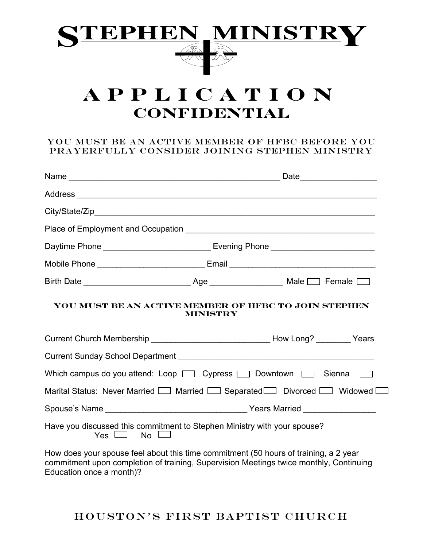

# **Application Confidential**

#### You must be an Active member of HFBC before you prayerfully consider joining Stephen Ministry

| Daytime Phone __________________________________ Evening Phone __________________                                                                                              |          |                                                      |                     |
|--------------------------------------------------------------------------------------------------------------------------------------------------------------------------------|----------|------------------------------------------------------|---------------------|
| Mobile Phone __________________________________Email ____________________________                                                                                              |          |                                                      |                     |
|                                                                                                                                                                                |          |                                                      |                     |
| Current Church Membership _________________________________How Long? _________Years                                                                                            | MINISTRY | YOU MUST BE AN ACTIVE MEMBER OF HFBC TO JOIN STEPHEN |                     |
|                                                                                                                                                                                |          |                                                      |                     |
|                                                                                                                                                                                |          |                                                      | <b>The Contract</b> |
| Marital Status: Never Married [ ] Married [ ] Separated [ ] Divorced [ ] Widowed                                                                                               |          |                                                      |                     |
|                                                                                                                                                                                |          |                                                      |                     |
| Have you discussed this commitment to Stephen Ministry with your spouse?<br>$Yes \sqcup$ No $\sqcup$                                                                           |          |                                                      |                     |
| How does your spouse feel about this time commitment (50 hours of training, a 2 year<br>commitment upon completion of training, Supervision Meetings twice monthly, Continuing |          |                                                      |                     |

Education once a month)?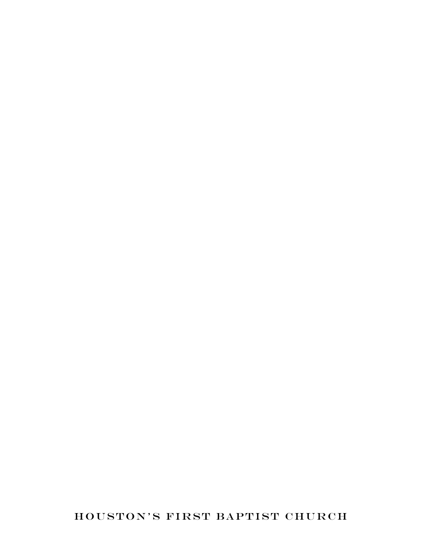HOUSTON'S FIRST BAPTIST CHURCH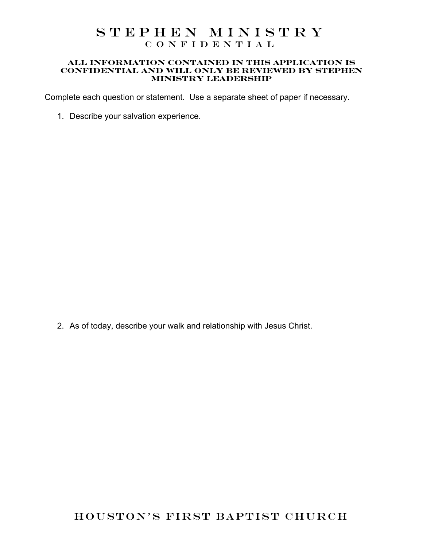#### **all information contained in this application is confidential and will only be reviewed by Stephen Ministry Leadership**

Complete each question or statement. Use a separate sheet of paper if necessary.

1. Describe your salvation experience.

2. As of today, describe your walk and relationship with Jesus Christ.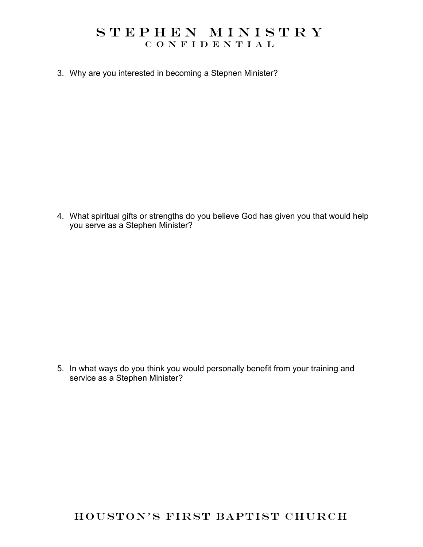3. Why are you interested in becoming a Stephen Minister?

4. What spiritual gifts or strengths do you believe God has given you that would help you serve as a Stephen Minister?

5. In what ways do you think you would personally benefit from your training and service as a Stephen Minister?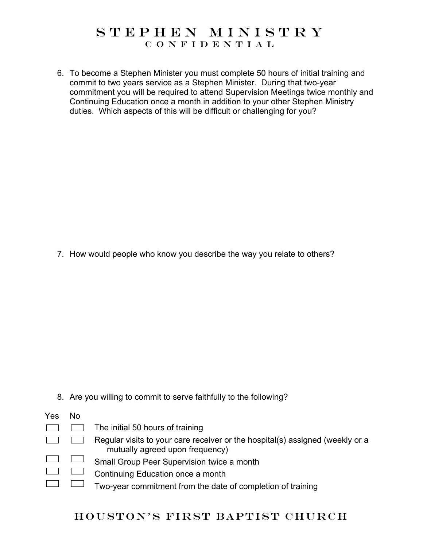6. To become a Stephen Minister you must complete 50 hours of initial training and commit to two years service as a Stephen Minister. During that two-year commitment you will be required to attend Supervision Meetings twice monthly and Continuing Education once a month in addition to your other Stephen Ministry duties. Which aspects of this will be difficult or challenging for you?

7. How would people who know you describe the way you relate to others?

8. Are you willing to commit to serve faithfully to the following?

| Yes | <b>No</b> |                                                                                                                  |
|-----|-----------|------------------------------------------------------------------------------------------------------------------|
|     |           | The initial 50 hours of training                                                                                 |
|     |           | Regular visits to your care receiver or the hospital(s) assigned (weekly or a<br>mutually agreed upon frequency) |
|     |           | Small Group Peer Supervision twice a month                                                                       |
|     |           | Continuing Education once a month                                                                                |
|     |           | Two-year commitment from the date of completion of training                                                      |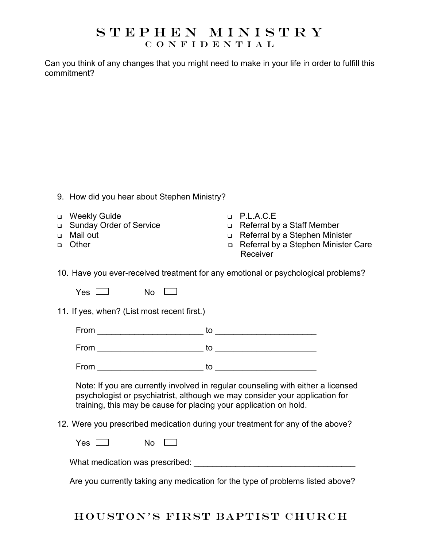Can you think of any changes that you might need to make in your life in order to fulfill this commitment?

|                                      | 9. How did you hear about Stephen Ministry?                                                                                                                                                                                          |        |                                                                                                                                       |  |  |
|--------------------------------------|--------------------------------------------------------------------------------------------------------------------------------------------------------------------------------------------------------------------------------------|--------|---------------------------------------------------------------------------------------------------------------------------------------|--|--|
| $\Box$<br>$\Box$<br>$\Box$<br>$\Box$ | <b>Weekly Guide</b><br><b>Sunday Order of Service</b><br>Mail out<br>Other                                                                                                                                                           | $\Box$ | $\neg$ P.L.A.C.E<br>Referral by a Staff Member<br>n Referral by a Stephen Minister<br>Referral by a Stephen Minister Care<br>Receiver |  |  |
|                                      | 10. Have you ever-received treatment for any emotional or psychological problems?                                                                                                                                                    |        |                                                                                                                                       |  |  |
|                                      | $No \quad \Box$<br>Yes $\Box$                                                                                                                                                                                                        |        |                                                                                                                                       |  |  |
|                                      | 11. If yes, when? (List most recent first.)                                                                                                                                                                                          |        |                                                                                                                                       |  |  |
|                                      |                                                                                                                                                                                                                                      |        |                                                                                                                                       |  |  |
|                                      |                                                                                                                                                                                                                                      |        |                                                                                                                                       |  |  |
|                                      |                                                                                                                                                                                                                                      |        |                                                                                                                                       |  |  |
|                                      | Note: If you are currently involved in regular counseling with either a licensed<br>psychologist or psychiatrist, although we may consider your application for<br>training, this may be cause for placing your application on hold. |        |                                                                                                                                       |  |  |
|                                      | 12. Were you prescribed medication during your treatment for any of the above?                                                                                                                                                       |        |                                                                                                                                       |  |  |
|                                      | $Yes \Box$<br>$No \quad \Box$                                                                                                                                                                                                        |        |                                                                                                                                       |  |  |
|                                      |                                                                                                                                                                                                                                      |        |                                                                                                                                       |  |  |
|                                      | Are you currently taking any medication for the type of problems listed above?                                                                                                                                                       |        |                                                                                                                                       |  |  |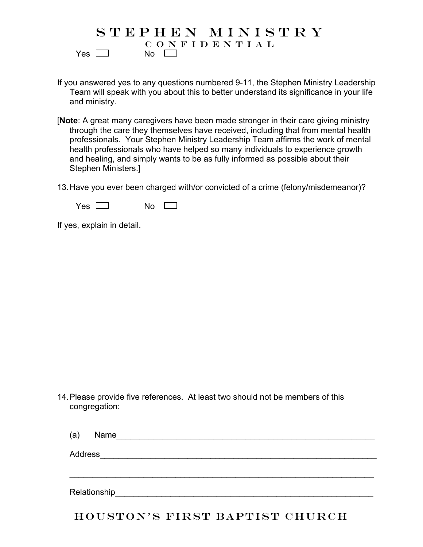#### STEPHEN MINISTRY CONFIDENTIAL  $Yes \Box$  No  $\Box$

If you answered yes to any questions numbered 9-11, the Stephen Ministry Leadership Team will speak with you about this to better understand its significance in your life and ministry.

- [**Note**: A great many caregivers have been made stronger in their care giving ministry through the care they themselves have received, including that from mental health professionals. Your Stephen Ministry Leadership Team affirms the work of mental health professionals who have helped so many individuals to experience growth and healing, and simply wants to be as fully informed as possible about their Stephen Ministers.]
- 13.Have you ever been charged with/or convicted of a crime (felony/misdemeanor)?

 $Yes \t No \t N$ 

If yes, explain in detail.

14. Please provide five references. At least two should not be members of this congregation:

| (a)          | Name |
|--------------|------|
| Address      |      |
|              |      |
| Relationship |      |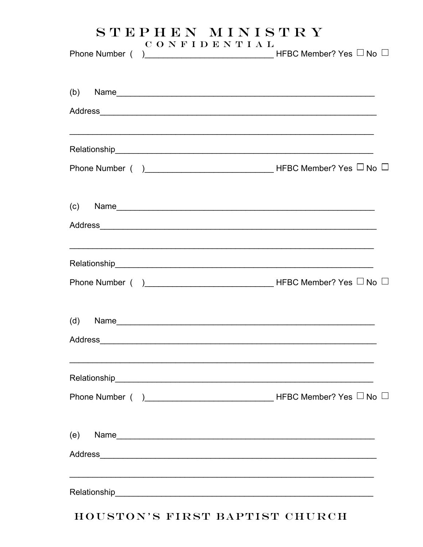|     | <b>CONFIDENTIAL</b> |                                                                                                                                                                                                                                                                                         |
|-----|---------------------|-----------------------------------------------------------------------------------------------------------------------------------------------------------------------------------------------------------------------------------------------------------------------------------------|
|     |                     | $(b)$ Name                                                                                                                                                                                                                                                                              |
|     |                     |                                                                                                                                                                                                                                                                                         |
|     |                     | (c) Name $\frac{1}{2}$ Name $\frac{1}{2}$ and $\frac{1}{2}$ and $\frac{1}{2}$ and $\frac{1}{2}$ and $\frac{1}{2}$ and $\frac{1}{2}$ and $\frac{1}{2}$ and $\frac{1}{2}$ and $\frac{1}{2}$ and $\frac{1}{2}$ and $\frac{1}{2}$ and $\frac{1}{2}$ and $\frac{1}{2}$ and $\frac{1}{2}$ and |
|     |                     |                                                                                                                                                                                                                                                                                         |
|     |                     |                                                                                                                                                                                                                                                                                         |
|     |                     |                                                                                                                                                                                                                                                                                         |
| (e) |                     |                                                                                                                                                                                                                                                                                         |
|     |                     |                                                                                                                                                                                                                                                                                         |

#### HOUSTON'S FIRST BAPTIST CHURCH